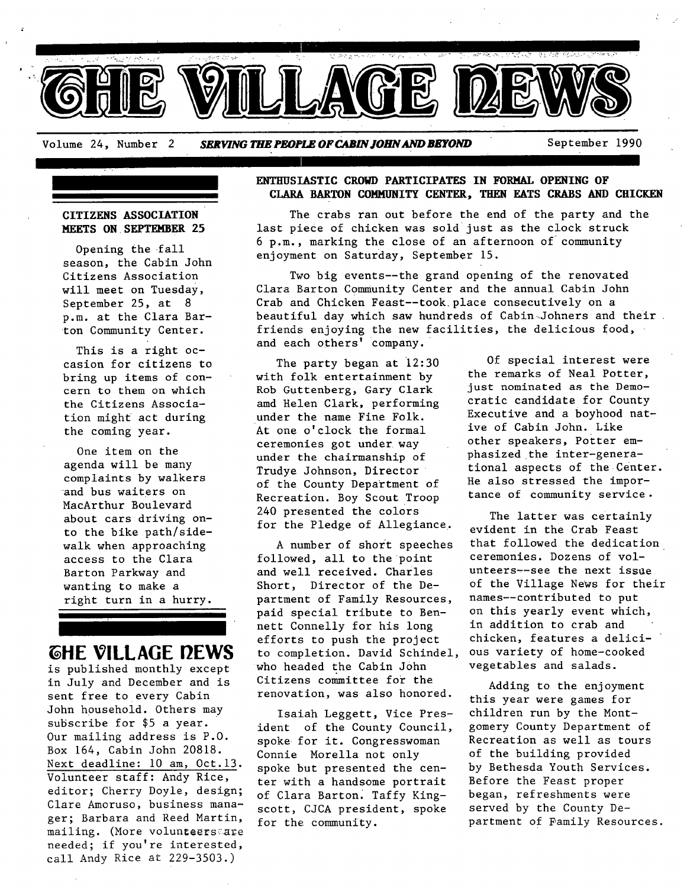

## **CITIZENS ASSOCIATION MEETS ON SEPTKMBER 25**

Opening the fall season, the Cabin John Citizens Association will meet on Tuesday, September 25, at 8 p.m. at the Clara Barton Community Center.

This is a right occasion for citizens to bring up items of concern to them on which the Citizens Association might act during the coming year.

One item on the agenda will be many complaints by walkers and bus waiters on MacArthur Boulevard about cars driving onto the bike path/sidewalk when approaching access to the Clara Barton Parkway and wanting to make a right turn in a hurry.

# **THE VILLAGE PEWS**

is published monthly except in July and December and is sent free to every Cabin John household. Others may subscribe for \$5 a year. Our mailing address is P.O. Box 164, Cabin John 20818. Next deadline: i0 am, Oct.13. Volunteer staff: Andy Rice, editor; Cherry Doyle, design; Clare Amoruso, business manager; Barbara and Reed Martin, mailing. (More volunteersare needed; if you're interested, call Andy Rice at 229-3503.)

# **ENTHUSIASTIC CROWD PARTICIPATES IN FORMAL OPENING OF CLARA BARTON COMMUNITY CENTER, THEN EATS CRABS AND CHICKEN**

The crabs ran out before the end of the party and the last piece of chicken was sold just as the clock struck  $6$  p.m., marking the close of an afternoon of community enjoyment on Saturday, September 15.

Two big events--the grand opening of the renovated Clara Barton Community Center and the annual Cabin John Crab and Chicken Feast--took. place consecutively on a beautiful day which saw hundreds of Cabin Johners and their. friends enjoying the new facilities, the delicious food, and each others' Company.

The party began at 12:30 with folk entertainment by Rob Guttenberg, Gary Clark amd Helen Clark, performing under the name Fine Folk. At one o'clock the formal ceremonies got under way under the chairmanship of Trudye Johnson, Director of the County Department of Recreation. Boy Scout Troop 240 presented the colors for the Pledge of Allegiance.

A number of short speeches followed, all to the point and well received, charles Short, Director of the Department of Family Resources, paid special tribute to Bennett Connelly for his long efforts to push the project to completion. David Schindel, ous variety of home-cooked who headed the Cabin John Citizens committee for the renovation, was also honored.

Isaiah Leggett, Vice President of the County Council, spoke for it. Congresswoman Connie Morella not only spoke but presented the center with a handsome portrait of Clara Barton. Taffy Kingscott, CJCA president, spoke for the community.

Of special interest were the remarks of Neal Potter, just nominated as the Democratic candidate for County Executive and a boyhood native of Cabin John. Like other speakers, Potter emphasized.the inter-generational aspects of the Center. He also stressed the importance of community service.

The latter was certainly evident in the Crab Feast that followed the dedication ceremonies. Dozens of volunteers--see the next issue of the Village News for their names--contributed to put on this yearly event which, in addition to crab and chicken, features a delicivegetables and salads.

Adding to the enjoyment this year were games for children run by the Montgomery County Department of Recreation as well as tours of the building provided by Bethesda Youth Services. Before the Feast proper began, refreshments were served by the County Department of Family Resources.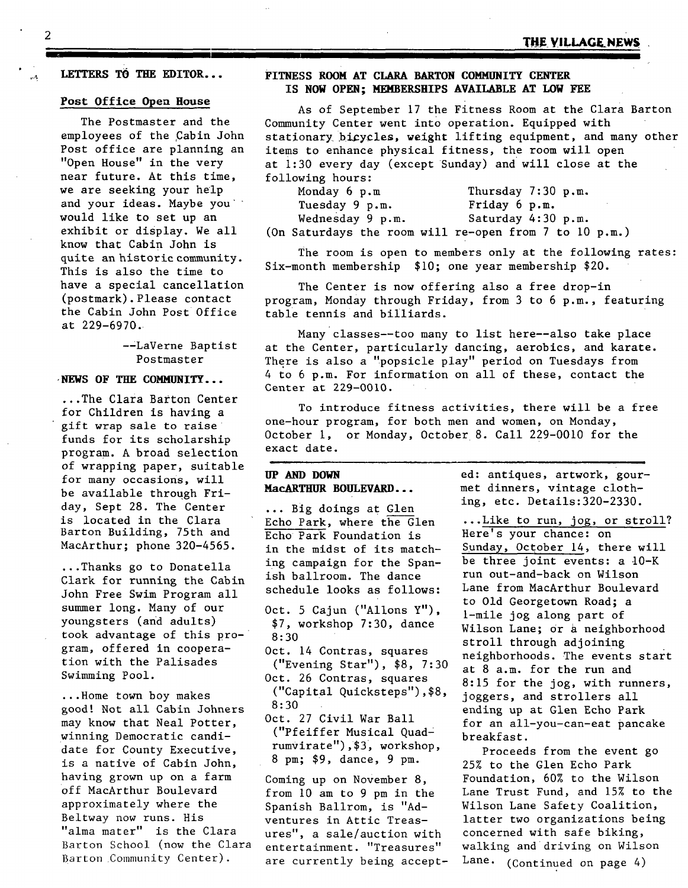#### **LETTERS TO THE EDITOR...**

#### **Post Office Open House**

The Postmaster and the employees of the Cabin John Post office are planning an "Open House" in the very near future. At this time, we are seeking your help and your ideas. Maybe you would like to set up an exhibit or display. We all know that Cabin John is quite an historic community. This is also the time to have a special cancellation (postmark).Please contact the Cabin John Post Office at 229-6970.

> --LaVerne Baptist Postmaster

#### **-NEWS OF THE COMMUNITY...**

...The Clara Barton Center for Children is having a gift wrap sale to raise funds for its scholarship program. A broad selection of wrapping paper, suitable for many occasions, will be available through Friday, Sept 28. The Center is located in the Clara Barton Building, 75th and MacArthur; phone 320-4565.

...Thanks go to Donatella Clark for running the Cabin John Free Swim Program all summer long. Many of our youngsters (and adults) took advantage of this program, offered in cooperation with the Palisades Swimming Pool.

...Home town boy makes good! Not all Cabin Johners may know that Neal Potter, winning Democratic candidate for County Executive, is a native of Cabin John, having grown up on a farm off MacArthur Boulevard approximately where the Beltway now runs. His "alma mater" is the Clara Barton School (now the Clara Barton Community Center).

#### **FITNESS ROOM AT CLARA BARTON COMMUNITY CENTER IS NOW OPEN; NEMBERSHIPS AVAILABLE AT LOW FEE**

**I** 

As of September 17 the Fitness Room at the Clara Barton Community Center went into operation. Equipped with stationary bicycles, weight lifting equipment, and many other items to enhance physical fitness, the room will open at 1:30 every day (except Sunday) andwill close at the following hours:

| Monday $6 \, \text{p.m}$                                   | Thursday $7:30$ p.m. |
|------------------------------------------------------------|----------------------|
| Tuesday 9 p.m.                                             | Friday 6 p.m.        |
| Wednesday 9 p.m.                                           | Saturday 4:30 p.m.   |
| (On Saturdays the room will re-open from $7$ to $10$ p.m.) |                      |

The room is open to members only at the following rates: Six-month membership \$i0; one year membership \$20.

The Center is now offering also a free drop-in program, Monday through Friday, from 3 to 6 p.m., featuring table tennis and billiards.

Many classes--too many to list here--also take place at the Center, particularly dancing, aerobics, and karate. There is also a "popsicle play" period on Tuesdays from 4 to 6 p.m. For information on all of these, contact the Center at 229-0010.

To introduce fitness activities, there will be a free one-hour program, for both men and women, on Monday, October i, or Monday, 0ctober 8. Call 229-0010 for the exact date.

## **UP AND DOWN MacARTHUR BOULEVARD...**

... Big doings at Glen Echo Park, where the Glen Echo Park Foundation is in the midst of its matching campaign for the Spanish ballroom. The dance schedule looks as follows:

- Oct. 5 Cajun ("Allons Y"), \$7, workshop 7:30, dance 8:30
- Oct. 14 Contras, squares ("Evening Star"), \$8, 7:30
- Oct. 26 Contras, squares ("Capital Quicksteps"),\$8, 8:30
- Oct. 27 Civil War Ball ("Pfeiffer Musical Quadrumvirate"),\$3, workshop, 8 pm; \$9, dance, 9 pm.

Coming up on November 8, from i0 am to 9 pm in the Spanish Ballrom, is "Adventures in Attic Treasures", a sale/auction with entertainment. "Treasures" are currently being accept-

ed: antiques, artwork, gourmet dinners, vintage clothing, etc. Details:320-2330.

...Like to run, jog, or stroll? Here's your chance: on Sunday, October 14, there will be three joint events: a 10-K run out-and-back on Wilson Lane from MacArthur Boulevard to Old Georgetown Road; a 1-mile jog along part of Wilson Lane; or a neighborhood stroll through adjoining neighborhoods. The events start at 8 a.m. for the run and 8:15 for the jog, with runners, joggers, and strollers all ending up at Glen Echo Park for an all-you-can-eat pancake breakfast.

Proceeds from the event go 25% to the Glen Echo Park Foundation, 60% to the Wilson Lane Trust Fund, and 15% to the Wilson Lane Safety Coalition, latter two organizations being concerned with safe biking, walking and driving on Wilson Lane. (Continued on page 4)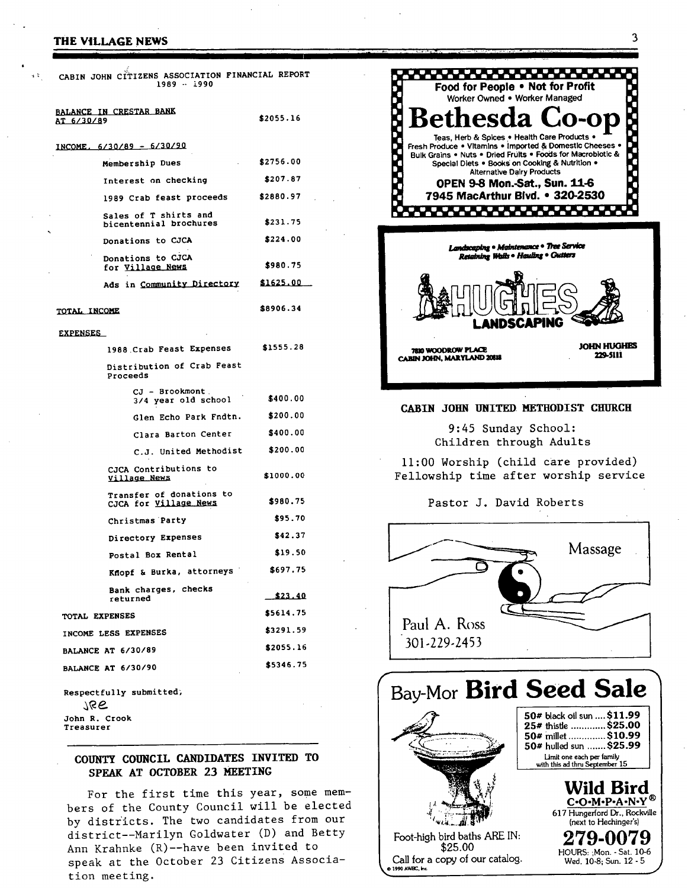#### **THE VILLAGE NEWS**

**I** II I[ **II I** 

| CABIN JOHN CITIZENS ASSOCIATION FINANCIAL REPORT<br>$1989 - 1990$ |           |
|-------------------------------------------------------------------|-----------|
| BALANCE IN CRESTAR BANK<br>AT 6/30/89                             | \$2055.16 |
| INCOME, 6/30/89 - 6/30/90                                         |           |
| Membership Dues                                                   | \$2756.00 |
| Interest on checking                                              | \$207.87  |
| 1989 Crab feast proceeds                                          | \$2880.97 |
| Sales of T shirts and<br>bicentennial brochures                   | \$231.75  |
| Donations to CJCA                                                 | \$224.00  |
| Donations to CJCA<br>for Village News                             | \$980.75  |
| Ads in Community Directory                                        | \$1625.00 |
| TOTAL INCOME                                                      | \$8906.34 |
| <b>EXPENSES</b>                                                   |           |
| 1988 Crab Feast Expenses                                          | \$1555.28 |
| Distribution of Crab Feast<br>Proceeds                            |           |
| CJ - Brookmont.<br>3/4 year old school                            | \$400.00  |
| Glen Echo Park Fndtn. \$200.00                                    |           |
| Clara Barton Center                                               | \$400.00  |
| C.J. United Methodist                                             | \$200.00  |
| CJCA Contributions to<br>Village News                             | \$1000.00 |
| Transfer of donations to<br>CJCA for <u>Village News</u>          | \$980.75  |
| Christmas Party                                                   | \$95.70   |
| Directory Expenses                                                | \$42.37   |
| Postal Box Rental                                                 | \$19.50   |
| Knopf & Burka, attorneys                                          | \$697.75  |
| Bank charges, checks<br>returned                                  | \$23.40   |
| TOTAL EXPENSES                                                    | \$5614.75 |
| INCOME LESS EXPENSES                                              | \$3291.59 |
| <b>BALANCE AT 6/30/89</b>                                         | \$2055.16 |
| <b>BALANCE AT 6/30/90</b>                                         | \$5346.75 |
| Respectfully submitted;<br>766<br>John R. Crook<br>Treasurer      |           |

# **COUNTY COUNCIL CANDIDATES INVITED TO SPEAK AT OCTOBER 23 MEETING**

For the first time this year, some members of the County Council will be elected by districts. The two candidates from our district--Marilyn Goldwater (D) and Betty Ann Krahnke (R)--have been invited to speak at the October 23 Citizens Association meeting.



## CABIN JOHN UNITED METHODIST CHURCH

9:45 Sunday School: Children through Adults

ii:00 Worship (child care provided) Fellowship time after worship service

Pastor J. David Roberts



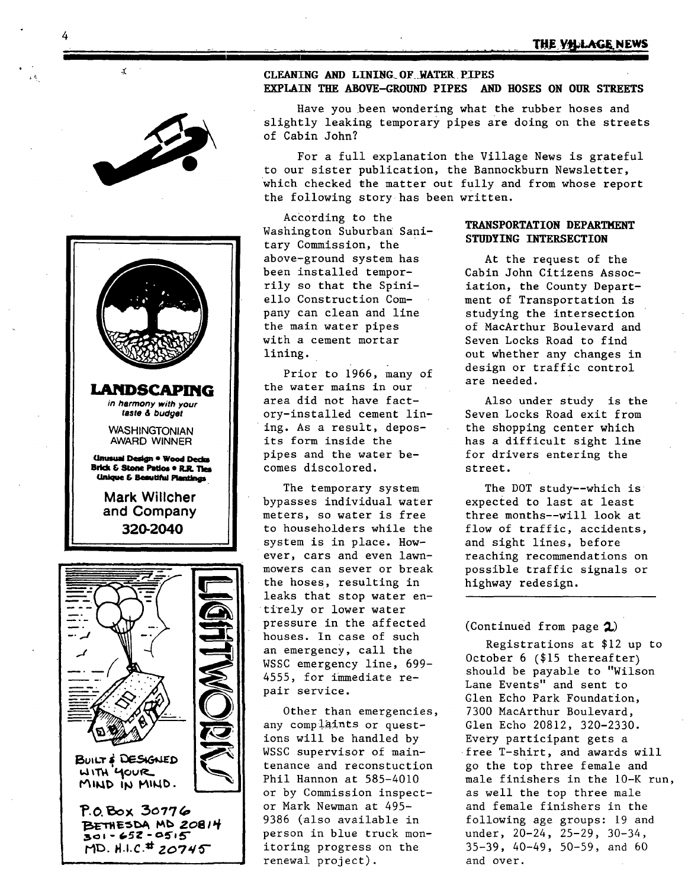

4



#### **CLEANING AND LINING OF WATER PIPES EXPLAIN THE ABOVE-GROUND PIPES AND HOSES ON OUR STREETS**

Have you been wondering what the rubber hoses and slightly leaking temporary pipes are doing on the streets of Cabin John?

For a full explanation the Village News is grateful to our sister publication, the Bannockburn Newsletter, which checked the matter out fully and from whose report the following story has been written.

According to the Washington Suburban Sanitary Commission, the above-ground system has been installed temporrily so that the Spiniello Construction Company can clean and line the main water pipes with a cement mortar lining.

Prior to 1966, many of the water mains in our area did not have factory-installed cement lining. As a result, deposits form inside the pipes and the water becomes discolored.

The temporary system bypasses individual water meters, so water is free to householders while the system is in place. However, cars and even lawnmowers can sever or break the hoses, resulting in leaks that stop water en tirely or lower water pressure in the affected houses. In case of such an emergency, call the WSSC emergency line, 699- 4555, for immediate repair service.

Other than emergencies, any complaints or questions will be handled by WSSC supervisor of maintenance and reconstuction Phil Hannon at 585-4010 or by Commission inspector Mark Newman at 495- 9386 (also available in person in blue truck monitoring progress on the renewal project).

#### **TRANSPORTATION DEPARTMENT STUDYING INTERSECTION**

At the request of the Cabin John Citizens Association, the County Department of Transportation is studying the intersection of MacArthur Boulevard and Seven Locks Road to find out whether any changes in design or traffic control are needed.

Also under study is the Seven Locks Road exit from the shopping center which has a difficult sight line for drivers entering the street.

The DOT study--which is expected to last at least three months--will look at flow of traffic, accidents, and sight lines, before reaching recommendations on possible traffic signals or highway redesign.

## (Continued from page  $2$ )

Registrations at \$12 up to October 6 (\$15 thereafter) should be payable to "Wilson Lane Events" and sent to Glen Echo Park Foundation, 7300 MacArthur Boulevard, Glen Echo 20812, 320-2330. Every participant gets a free T-shirt, and awards will go the top three female and male finishers in the 10-K run, as well the top three male and female finishers in the following age groups: 19 and under, 20-24, 25-29, 30-34, 35-39, 40-49, 50-59, and 60 and over.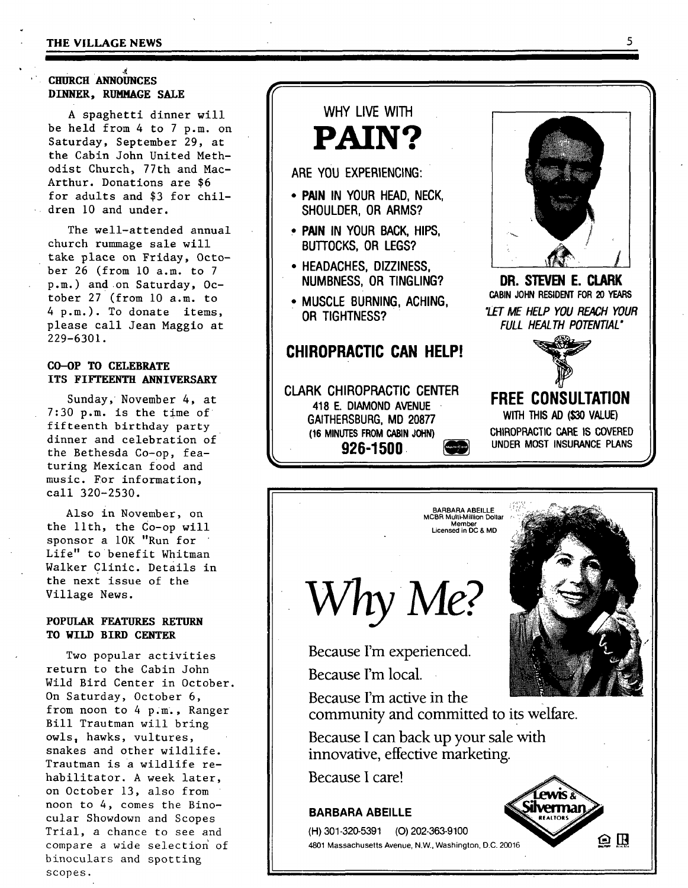#### **THE VILLAGE NEWS**

# **CHURCH ANNOUNCES**  $DINNER$ , **RUMMAGE SALE**

A spaghetti dinner will be held from 4 to 7 p.m. on Saturday, September 29, at the Cabin John United Methodist Church, 77th and Mac-Arthur. Donations are \$6 for adults and \$3 for children i0 and under.

The well-attended annual church rummage sale will take place on Friday, October 26 (from I0 a.m. to 7 p.m.) and on Saturday, October 27 (from i0 a.m. to 4 p.m.). To donate items, please call Jean Maggio at 229-6301.

# **CO-OP TO CELEBRATE ITS FIFTEENTH ANNIVERSARY**

Sunday, November 4, at 7:30 p.m. is the time of fifteenth birthday party dinner and celebration of the Bethesda Co-op , featuring Mexican food and music. For information, call 320-2530.

Also in November, on the llth, the Co-op will sponsor a 10K "Run for Life" to benefit Whitman Walker Clinic. Details in the next issue of the Village News.

#### **POPULAR FEATURES RETURN TO WILD BIRD CENTER**

Two popular activities return to the Cabin John Wild Bird Center in October. On Saturday, October 6, from noon to 4 p.m., Ranger Bill Trautman will bring owls, hawks, vultures, snakes and other wildlife. Trautman is a wildlife rehabilitator. A week later, on October 13, also from noon to 4, comes the Binocular Showdown and Scopes Trial, a chance to see and compare a wide selection of binoculars and spotting scopes.

# **PAIN? ARE YOU EXPERIENCING: • PAIN IN YOUR HEAD, NECK, SHOULDER, OR ARMS? , PAIN IN YOUR BACK, HIPS, BUTTOCKS, OR LEGS? • HEADACHES, DIZZINESS, NUMBNESS, OR TINGLING? • MUSCLE BURNING, ACHING, OR TIGHTNESS? CHIROPRACTIC CAN HELP! CLARK CHIROPRACTIC CENTER 418 E. DIAMOND AVENUE GAITHERSBURG, MD 20877 (16 MINUTES FROM CABIN JOHN) 926-1500.**

**WHY LIVE WITH** 



**DR. STEVEN E. CLARK CABIN JOHN RESIDENT FOR 20 YEARS**  *"LET ME HELP YOU REACH YOUR FULL HEALTH POTENTIAL"* 



**FREE CONSULTATION WITH THIS AD (\$30 VALUE) CHIROPRACTIC CARE IS COVERED UNDER MOST INSURANCE PLANS** 

**BARBARA ABEILLE MCBR Multi-Million Dollar**  Member **Licensed** in DC & MD



Because I'm experienced. Because I'm local.

Because I'm active in the community and committed to its welfare.

Because I can back up your sale with innovative, effective marketing.

**Because I care!** 

# **BARBARA ABEILLE**

(H) 301-320-5391 (O) 202-363-9100<br>4801 Massachusetts Avenue, N.W. Washington, D.C. 20016 4801 Massachusetts Avenue, N.W., Washington, D.C. 20016 ~